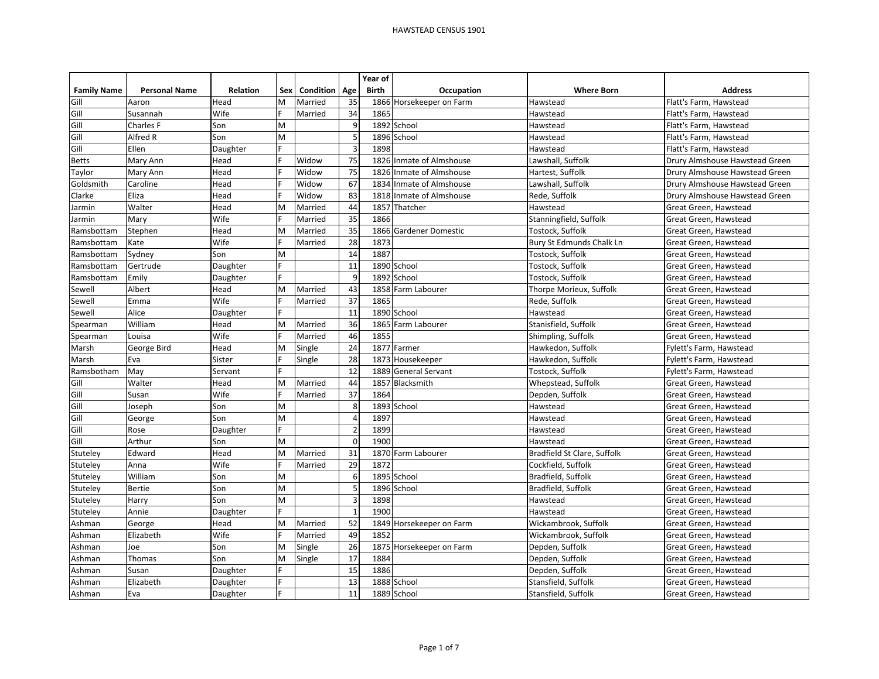|                    |                      |                 |     |                  |                | Year of      |                          |                             |                                |
|--------------------|----------------------|-----------------|-----|------------------|----------------|--------------|--------------------------|-----------------------------|--------------------------------|
| <b>Family Name</b> | <b>Personal Name</b> | <b>Relation</b> | Sex | <b>Condition</b> | Age            | <b>Birth</b> | Occupation               | <b>Where Born</b>           | <b>Address</b>                 |
| Gill               | Aaron                | Head            | M   | Married          | 35             |              | 1866 Horsekeeper on Farm | Hawstead                    | Flatt's Farm. Hawstead         |
| Gill               | Susannah             | Wife            |     | Married          | 34             | 1865         |                          | Hawstead                    | Flatt's Farm, Hawstead         |
| Gill               | Charles F            | Son             | M   |                  | 9              |              | 1892 School              | Hawstead                    | Flatt's Farm, Hawstead         |
| Gill               | Alfred R             | Son             | M   |                  | 5              |              | 1896 School              | Hawstead                    | Flatt's Farm, Hawstead         |
| Gill               | Ellen                | Daughter        |     |                  | $\overline{3}$ | 1898         |                          | Hawstead                    | Flatt's Farm, Hawstead         |
| <b>Betts</b>       | Mary Ann             | Head            |     | Widow            | 75             |              | 1826 Inmate of Almshouse | Lawshall, Suffolk           | Drury Almshouse Hawstead Green |
| Taylor             | Mary Ann             | Head            |     | Widow            | 75             |              | 1826 Inmate of Almshouse | Hartest, Suffolk            | Drury Almshouse Hawstead Green |
| Goldsmith          | Caroline             | Head            |     | Widow            | 67             |              | 1834 Inmate of Almshouse | Lawshall, Suffolk           | Drury Almshouse Hawstead Green |
| Clarke             | Eliza                | Head            |     | Widow            | 83             | 1818         | Inmate of Almshouse      | Rede, Suffolk               | Drury Almshouse Hawstead Green |
| Jarmin             | Walter               | Head            | M   | Married          | 44             | 1857         | Thatcher                 | Hawstead                    | Great Green, Hawstead          |
| Jarmin             | Mary                 | Wife            |     | Married          | 35             | 1866         |                          | Stanningfield, Suffolk      | Great Green, Hawstead          |
| Ramsbottam         | Stephen              | Head            | M   | Married          | 35             |              | 1866 Gardener Domestic   | Tostock, Suffolk            | Great Green, Hawstead          |
| Ramsbottam         | Kate                 | Wife            | E   | Married          | 28             | 1873         |                          | Bury St Edmunds Chalk Ln    | Great Green, Hawstead          |
| Ramsbottam         | Sydney               | Son             | M   |                  | 14             | 1887         |                          | Tostock, Suffolk            | Great Green, Hawstead          |
| Ramsbottam         | Gertrude             | Daughter        |     |                  | 11             |              | 1890 School              | Tostock, Suffolk            | Great Green, Hawstead          |
| Ramsbottam         | Emily                | Daughter        | F   |                  | 9              |              | 1892 School              | Tostock, Suffolk            | Great Green, Hawstead          |
| Sewell             | Albert               | Head            | M   | Married          | 43             | 1858         | Farm Labourer            | Thorpe Morieux, Suffolk     | Great Green. Hawstead          |
| Sewell             | Emma                 | Wife            |     | Married          | 37             | 1865         |                          | Rede, Suffolk               | Great Green, Hawstead          |
| Sewell             | Alice                | Daughter        | F   |                  | 11             |              | 1890 School              | Hawstead                    | Great Green, Hawstead          |
| Spearman           | William              | Head            | M   | Married          | 36             | 1865         | Farm Labourer            | Stanisfield, Suffolk        | Great Green, Hawstead          |
| Spearman           | Louisa               | Wife            |     | Married          | 46             | 1855         |                          | Shimpling, Suffolk          | Great Green, Hawstead          |
| Marsh              | George Bird          | Head            | M   | Single           | 24             |              | 1877 Farmer              | Hawkedon, Suffolk           | Fylett's Farm, Hawstead        |
| Marsh              | Eva                  | Sister          |     | Single           | 28             | 1873         | Housekeeper              | Hawkedon, Suffolk           | Fylett's Farm, Hawstead        |
| Ramsbotham         | May                  | Servant         |     |                  | 12             | 1889         | <b>General Servant</b>   | Tostock, Suffolk            | Fylett's Farm, Hawstead        |
| Gill               | Walter               | Head            | M   | Married          | 44             | 1857         | Blacksmith               | Whepstead, Suffolk          | Great Green, Hawstead          |
| Gill               | Susan                | Wife            |     | Married          | 37             | 1864         |                          | Depden, Suffolk             | Great Green, Hawstead          |
| Gill               | Joseph               | Son             | M   |                  | 8              | 1893         | School                   | Hawstead                    | Great Green, Hawstead          |
| Gill               | George               | Son             | M   |                  | $\overline{4}$ | 1897         |                          | Hawstead                    | Great Green, Hawstead          |
| Gill               | Rose                 | Daughter        | Ė   |                  | $\overline{2}$ | 1899         |                          | Hawstead                    | Great Green, Hawstead          |
| Gill               | Arthur               | Son             | M   |                  | $\Omega$       | 1900         |                          | Hawstead                    | Great Green, Hawstead          |
| Stuteley           | Edward               | Head            | M   | Married          | 31             | 1870         | Farm Labourer            | Bradfield St Clare, Suffolk | Great Green, Hawstead          |
| Stuteley           | Anna                 | Wife            | E   | Married          | 29             | 1872         |                          | Cockfield, Suffolk          | Great Green, Hawstead          |
| Stuteley           | William              | Son             | M   |                  | 6              |              | 1895 School              | Bradfield, Suffolk          | Great Green, Hawstead          |
| Stuteley           | Bertie               | Son             | M   |                  | 5              |              | 1896 School              | Bradfield, Suffolk          | Great Green, Hawstead          |
| Stuteley           | Harry                | Son             | M   |                  | $\overline{3}$ | 1898         |                          | Hawstead                    | Great Green, Hawstead          |
| Stuteley           | Annie                | Daughter        |     |                  | $\mathbf{1}$   | 1900         |                          | Hawstead                    | Great Green, Hawstead          |
| Ashman             | George               | Head            | M   | Married          | 52             |              | 1849 Horsekeeper on Farm | Wickambrook, Suffolk        | Great Green, Hawstead          |
| Ashman             | Elizabeth            | Wife            |     | Married          | 49             | 1852         |                          | Wickambrook, Suffolk        | Great Green, Hawstead          |
| Ashman             | Joe                  | Son             | M   | Single           | 26             |              | 1875 Horsekeeper on Farm | Depden, Suffolk             | Great Green, Hawstead          |
| Ashman             | <b>Thomas</b>        | Son             | M   | Single           | 17             | 1884         |                          | Depden, Suffolk             | Great Green, Hawstead          |
| Ashman             | Susan                | Daughter        |     |                  | 15             | 1886         |                          | Depden, Suffolk             | Great Green, Hawstead          |
| Ashman             | Elizabeth            | Daughter        | F   |                  | 13             |              | 1888 School              | Stansfield, Suffolk         | Great Green, Hawstead          |
| Ashman             | Eva                  | Daughter        |     |                  | 11             |              | 1889 School              | Stansfield, Suffolk         | Great Green, Hawstead          |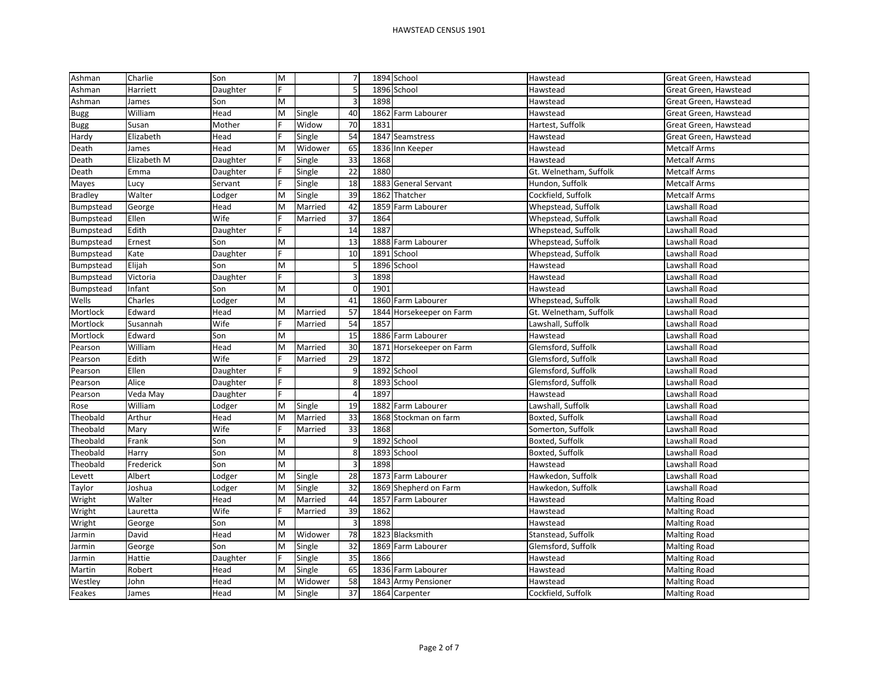| Ashman         | Charlie     | Son      | M |         | $\overline{7}$          |      | 1894 School              | Hawstead               | Great Green, Hawstead |
|----------------|-------------|----------|---|---------|-------------------------|------|--------------------------|------------------------|-----------------------|
| Ashman         | Harriett    | Daughter |   |         | 5 <sup>1</sup>          |      | 1896 School              | Hawstead               | Great Green, Hawstead |
| Ashman         | James       | Son      | M |         | $\overline{\mathbf{3}}$ | 1898 |                          | Hawstead               | Great Green, Hawstead |
| <b>Bugg</b>    | William     | Head     | M | Single  | 40                      |      | 1862 Farm Labourer       | Hawstead               | Great Green, Hawstead |
| <b>Bugg</b>    | Susan       | Mother   |   | Widow   | 70                      | 1831 |                          | Hartest, Suffolk       | Great Green, Hawstead |
| Hardy          | Elizabeth   | Head     |   | Single  | 54                      |      | 1847 Seamstress          | Hawstead               | Great Green, Hawstead |
| Death          | James       | Head     | M | Widower | 65                      |      | 1836 Inn Keeper          | Hawstead               | <b>Metcalf Arms</b>   |
| Death          | Elizabeth M | Daughter |   | Single  | 33                      | 1868 |                          | Hawstead               | <b>Metcalf Arms</b>   |
| Death          | Emma        | Daughter |   | Single  | 22                      | 1880 |                          | Gt. Welnetham, Suffolk | <b>Metcalf Arms</b>   |
| Mayes          | Lucy        | Servant  |   | Single  | 18                      |      | 1883 General Servant     | Hundon, Suffolk        | <b>Metcalf Arms</b>   |
| <b>Bradley</b> | Walter      | Lodger   | M | Single  | 39                      | 1862 | Thatcher                 | Cockfield, Suffolk     | <b>Metcalf Arms</b>   |
| Bumpstead      | George      | Head     | M | Married | 42                      |      | 1859 Farm Labourer       | Whepstead, Suffolk     | Lawshall Road         |
| Bumpstead      | Ellen       | Wife     |   | Married | 37                      | 1864 |                          | Whepstead, Suffolk     | Lawshall Road         |
| Bumpstead      | Edith       | Daughter |   |         | 14                      | 1887 |                          | Whepstead, Suffolk     | Lawshall Road         |
| Bumpstead      | Ernest      | Son      | M |         | 13                      |      | 1888 Farm Labourer       | Whepstead, Suffolk     | Lawshall Road         |
| Bumpstead      | Kate        | Daughter |   |         | $10\,$                  |      | 1891 School              | Whepstead, Suffolk     | Lawshall Road         |
| Bumpstead      | Elijah      | Son      | M |         | 5 <sup>1</sup>          |      | 1896 School              | Hawstead               | Lawshall Road         |
| Bumpstead      | Victoria    | Daughter |   |         | 3                       | 1898 |                          | Hawstead               | Lawshall Road         |
| Bumpstead      | Infant      | Son      | M |         | $\mathbf 0$             | 1901 |                          | Hawstead               | Lawshall Road         |
| Wells          | Charles     | Lodger   | M |         | 41                      |      | 1860 Farm Labourer       | Whepstead, Suffolk     | Lawshall Road         |
| Mortlock       | Edward      | Head     | M | Married | 57                      |      | 1844 Horsekeeper on Farm | Gt. Welnetham, Suffolk | Lawshall Road         |
| Mortlock       | Susannah    | Wife     |   | Married | 54                      | 1857 |                          | Lawshall, Suffolk      | Lawshall Road         |
| Mortlock       | Edward      | Son      | M |         | 15                      |      | 1886 Farm Labourer       | Hawstead               | Lawshall Road         |
| Pearson        | William     | Head     | M | Married | 30                      | 1871 | Horsekeeper on Farm      | Glemsford, Suffolk     | Lawshall Road         |
| Pearson        | Edith       | Wife     |   | Married | 29                      | 1872 |                          | Glemsford, Suffolk     | Lawshall Road         |
| Pearson        | Ellen       | Daughter |   |         | 9                       |      | 1892 School              | Glemsford, Suffolk     | Lawshall Road         |
| Pearson        | Alice       | Daughter |   |         | 8                       |      | 1893 School              | Glemsford, Suffolk     | Lawshall Road         |
| Pearson        | Veda May    | Daughter |   |         | $\overline{4}$          | 1897 |                          | Hawstead               | Lawshall Road         |
| Rose           | William     | Lodger   | M | Single  | 19                      |      | 1882 Farm Labourer       | Lawshall, Suffolk      | Lawshall Road         |
| Theobald       | Arthur      | Head     | M | Married | 33                      |      | 1868 Stockman on farm    | Boxted, Suffolk        | Lawshall Road         |
| Theobald       | Mary        | Wife     |   | Married | 33                      | 1868 |                          | Somerton, Suffolk      | Lawshall Road         |
| Theobald       | Frank       | Son      | M |         | 9                       |      | 1892 School              | Boxted, Suffolk        | Lawshall Road         |
| Theobald       | Harry       | Son      | M |         | $\bf 8$                 |      | 1893 School              | Boxted, Suffolk        | Lawshall Road         |
| Theobald       | Frederick   | Son      | M |         | 3                       | 1898 |                          | Hawstead               | Lawshall Road         |
| Levett         | Albert      | Lodger   | M | Single  | 28                      |      | 1873 Farm Labourer       | Hawkedon, Suffolk      | Lawshall Road         |
| Taylor         | Joshua      | Lodger   | M | Single  | 32                      |      | 1869 Shepherd on Farm    | Hawkedon, Suffolk      | Lawshall Road         |
| Wright         | Walter      | Head     | M | Married | 44                      | 1857 | Farm Labourer            | Hawstead               | <b>Malting Road</b>   |
| Wright         | Lauretta    | Wife     |   | Married | 39                      | 1862 |                          | Hawstead               | <b>Malting Road</b>   |
| Wright         | George      | Son      | M |         | 3                       | 1898 |                          | Hawstead               | <b>Malting Road</b>   |
| Jarmin         | David       | Head     | M | Widower | 78                      |      | 1823 Blacksmith          | Stanstead, Suffolk     | <b>Malting Road</b>   |
| Jarmin         | George      | Son      | M | Single  | 32                      |      | 1869 Farm Labourer       | Glemsford, Suffolk     | <b>Malting Road</b>   |
| Jarmin         | Hattie      | Daughter |   | Single  | 35                      | 1866 |                          | Hawstead               | <b>Malting Road</b>   |
| Martin         | Robert      | Head     | M | Single  | 65                      |      | 1836 Farm Labourer       | Hawstead               | <b>Malting Road</b>   |
| Westley        | John        | Head     | M | Widower | 58                      |      | 1843 Army Pensioner      | Hawstead               | <b>Malting Road</b>   |
| Feakes         | James       | Head     | M | Single  | 37                      |      | 1864 Carpenter           | Cockfield, Suffolk     | <b>Malting Road</b>   |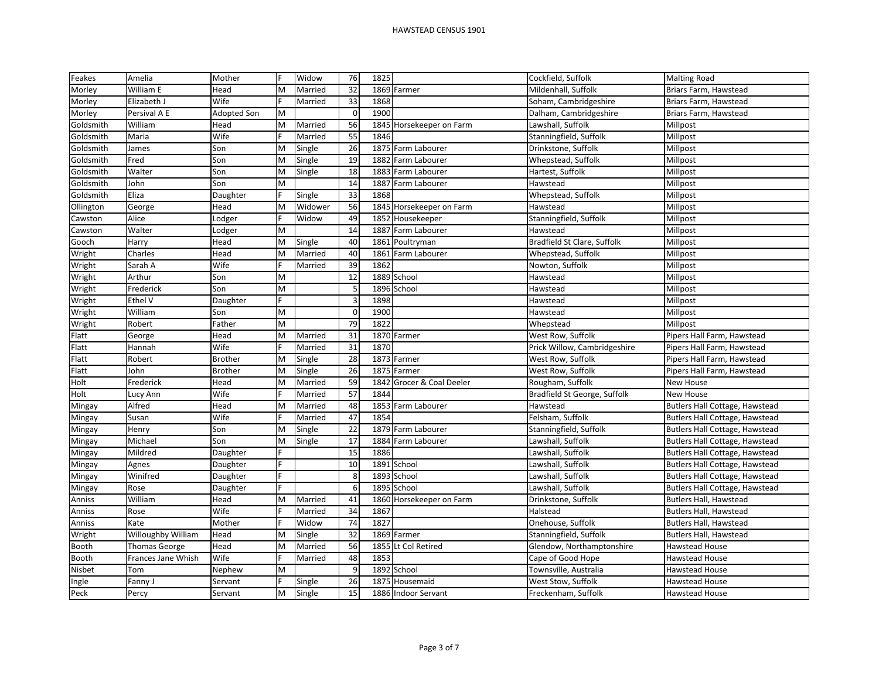| Feakes    | Amelia             | Mother         | F | Widow   | 76                      | 1825 |                           | Cockfield, Suffolk           | <b>Malting Road</b>            |
|-----------|--------------------|----------------|---|---------|-------------------------|------|---------------------------|------------------------------|--------------------------------|
| Morley    | William E          | Head           | M | Married | 32                      |      | 1869 Farmer               | Mildenhall, Suffolk          | Briars Farm, Hawstead          |
| Morley    | Elizabeth J        | Wife           |   | Married | 33                      | 1868 |                           | Soham, Cambridgeshire        | Briars Farm, Hawstead          |
| Morley    | Persival A E       | Adopted Son    | M |         | $\mathbf 0$             | 1900 |                           | Dalham, Cambridgeshire       | Briars Farm, Hawstead          |
| Goldsmith | William            | Head           | M | Married | 56                      |      | 1845 Horsekeeper on Farm  | Lawshall, Suffolk            | Millpost                       |
| Goldsmith | Maria              | Wife           |   | Married | 55                      | 1846 |                           | Stanningfield, Suffolk       | Millpost                       |
| Goldsmith | James              | Son            | M | Single  | 26                      |      | 1875 Farm Labourer        | Drinkstone, Suffolk          | Millpost                       |
| Goldsmith | Fred               | Son            | M | Single  | 19                      |      | 1882 Farm Labourer        | Whepstead, Suffolk           | Millpost                       |
| Goldsmith | Walter             | Son            | M | Single  | 18                      |      | 1883 Farm Labourer        | Hartest, Suffolk             | Millpost                       |
| Goldsmith | John               | Son            | M |         | 14                      |      | 1887 Farm Labourer        | Hawstead                     | Millpost                       |
| Goldsmith | Eliza              | Daughter       |   | Single  | 33                      | 1868 |                           | Whepstead, Suffolk           | Millpost                       |
| Ollington | George             | Head           | M | Widower | 56                      |      | 1845 Horsekeeper on Farm  | Hawstead                     | Millpost                       |
| Cawston   | Alice              | Lodger         |   | Widow   | 49                      |      | 1852 Housekeeper          | Stanningfield, Suffolk       | Millpost                       |
| Cawston   | Walter             | Lodger         | M |         | 14                      | 1887 | Farm Labourer             | Hawstead                     | Millpost                       |
| Gooch     | Harry              | Head           | M | Single  | 40                      |      | 1861 Poultryman           | Bradfield St Clare, Suffolk  | Millpost                       |
| Wright    | Charles            | Head           | M | Married | 40                      | 1861 | Farm Labourer             | Whepstead, Suffolk           | Millpost                       |
| Wright    | Sarah A            | Wife           |   | Married | 39                      | 1862 |                           | Nowton, Suffolk              | Millpost                       |
| Wright    | Arthur             | Son            | M |         | $\overline{12}$         |      | 1889 School               | Hawstead                     | Millpost                       |
| Wright    | Frederick          | Son            | M |         | $\mathsf S$             |      | 1896 School               | Hawstead                     | Millpost                       |
| Wright    | Ethel V            | Daughter       |   |         | $\overline{\mathbf{3}}$ | 1898 |                           | Hawstead                     | Millpost                       |
| Wright    | William            | Son            | M |         | $\Omega$                | 1900 |                           | Hawstead                     | Millpost                       |
| Wright    | Robert             | Father         | M |         | 79                      | 1822 |                           | Whepstead                    | Millpost                       |
| Flatt     | George             | Head           | M | Married | 31                      |      | 1870 Farmer               | West Row, Suffolk            | Pipers Hall Farm, Hawstead     |
| Flatt     | Hannah             | Wife           |   | Married | 31                      | 1870 |                           | Prick Willow, Cambridgeshire | Pipers Hall Farm, Hawstead     |
| Flatt     | Robert             | <b>Brother</b> | M | Single  | 28                      |      | 1873 Farmer               | West Row, Suffolk            | Pipers Hall Farm, Hawstead     |
| Flatt     | John               | <b>Brother</b> | M | Single  | 26                      |      | 1875 Farmer               | West Row, Suffolk            | Pipers Hall Farm, Hawstead     |
| Holt      | Frederick          | Head           | M | Married | 59                      |      | 1842 Grocer & Coal Deeler | Rougham, Suffolk             | New House                      |
| Holt      | Lucy Ann           | Wife           |   | Married | 57                      | 1844 |                           | Bradfield St George, Suffolk | New House                      |
| Mingay    | Alfred             | Head           | M | Married | 48                      |      | 1853 Farm Labourer        | Hawstead                     | Butlers Hall Cottage, Hawstead |
| Mingay    | Susan              | Wife           |   | Married | 47                      | 1854 |                           | Felsham, Suffolk             | Butlers Hall Cottage, Hawstead |
| Mingay    | Henry              | Son            | M | Single  | 22                      |      | 1879 Farm Labourer        | Stanningfield, Suffolk       | Butlers Hall Cottage, Hawstead |
| Mingay    | Michael            | Son            | M | Single  | 17                      |      | 1884 Farm Labourer        | Lawshall, Suffolk            | Butlers Hall Cottage, Hawstead |
| Mingay    | Mildred            | Daughter       |   |         | 15                      | 1886 |                           | Lawshall, Suffolk            | Butlers Hall Cottage, Hawstead |
| Mingay    | Agnes              | Daughter       |   |         | 10                      |      | 1891 School               | awshall, Suffolk             | Butlers Hall Cottage, Hawstead |
| Mingay    | Winifred           | Daughter       |   |         | 8                       |      | 1893 School               | Lawshall, Suffolk            | Butlers Hall Cottage, Hawstead |
| Mingay    | Rose               | Daughter       |   |         | 6                       |      | 1895 School               | awshall, Suffolk             | Butlers Hall Cottage, Hawstead |
| Anniss    | William            | Head           | M | Married | 41                      |      | 1860 Horsekeeper on Farm  | Drinkstone, Suffolk          | Butlers Hall, Hawstead         |
| Anniss    | Rose               | Wife           |   | Married | 34                      | 1867 |                           | Halstead                     | Butlers Hall, Hawstead         |
| Anniss    | Kate               | Mother         |   | Widow   | 74                      | 1827 |                           | Onehouse, Suffolk            | Butlers Hall, Hawstead         |
| Wright    | Willoughby William | Head           | M | Single  | 32                      |      | 1869 Farmer               | Stanningfield, Suffolk       | Butlers Hall, Hawstead         |
| Booth     | Thomas George      | Head           | M | Married | 56                      |      | 1855 Lt Col Retired       | Glendow, Northamptonshire    | Hawstead House                 |
| Booth     | Frances Jane Whish | Wife           |   | Married | 48                      | 1853 |                           | Cape of Good Hope            | Hawstead House                 |
| Nisbet    | Tom                | Nephew         | M |         | $\boldsymbol{9}$        |      | 1892 School               | Townsville, Australia        | Hawstead House                 |
| Ingle     | Fanny J            | Servant        |   | Single  | 26                      | 1875 | Housemaid                 | West Stow, Suffolk           | Hawstead House                 |
| Peck      | Percy              | Servant        | M | Single  | 15                      |      | 1886 Indoor Servant       | Freckenham, Suffolk          | <b>Hawstead House</b>          |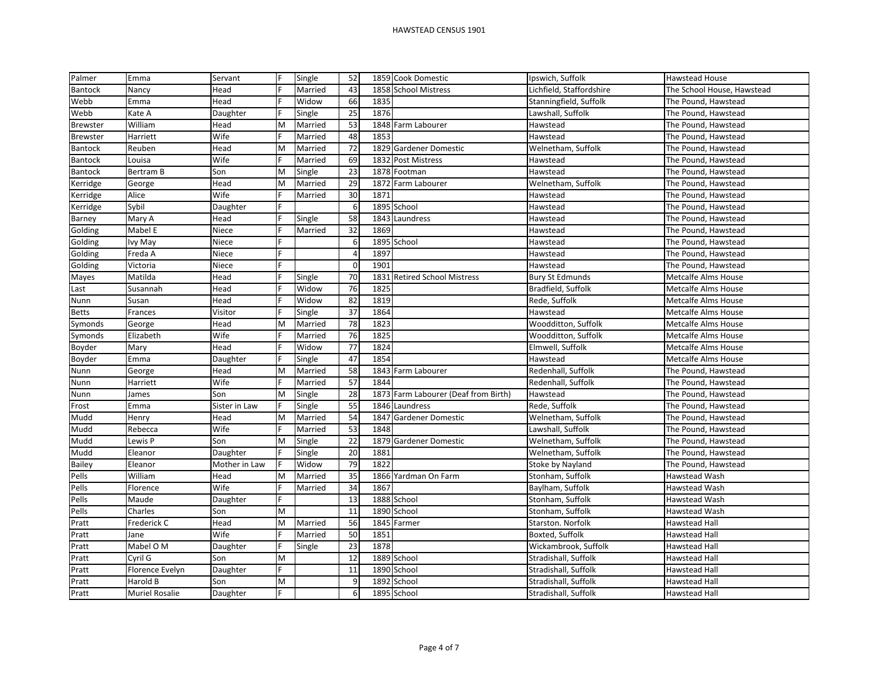| Palmer          | Emma            | Servant       |   | Single  | 52              | 1859 Cook Domestic                   | Ipswich, Suffolk         | Hawstead House             |
|-----------------|-----------------|---------------|---|---------|-----------------|--------------------------------------|--------------------------|----------------------------|
| <b>Bantock</b>  | Nancy           | Head          |   | Married | 43              | 1858 School Mistress                 | Lichfield, Staffordshire | The School House, Hawstead |
| Webb            | Emma            | Head          |   | Widow   | 66              | 1835                                 | Stanningfield, Suffolk   | The Pound, Hawstead        |
| Webb            | Kate A          | Daughter      |   | Single  | 25              | 1876                                 | Lawshall, Suffolk        | The Pound, Hawstead        |
| <b>Brewster</b> | William         | Head          | M | Married | 53              | 1848 Farm Labourer                   | Hawstead                 | The Pound, Hawstead        |
| <b>Brewster</b> | Harriett        | Wife          |   | Married | 48              | 1853                                 | Hawstead                 | The Pound, Hawstead        |
| Bantock         | Reuben          | Head          | M | Married | 72              | 1829 Gardener Domestic               | Welnetham, Suffolk       | The Pound, Hawstead        |
| Bantock         | Louisa          | Wife          |   | Married | 69              | 1832 Post Mistress                   | Hawstead                 | The Pound, Hawstead        |
| <b>Bantock</b>  | Bertram B       | Son           | M | Single  | $\overline{23}$ | 1878 Footman                         | Hawstead                 | The Pound, Hawstead        |
| Kerridge        | George          | Head          | M | Married | 29              | 1872<br>Farm Labourer                | Welnetham, Suffolk       | The Pound, Hawstead        |
| Kerridge        | Alice           | Wife          |   | Married | 30              | 1871                                 | Hawstead                 | The Pound, Hawstead        |
| Kerridge        | Sybil           | Daughter      |   |         | 6               | 1895 School                          | Hawstead                 | The Pound, Hawstead        |
| Barney          | Mary A          | Head          |   | Single  | 58              | 1843<br>Laundress                    | Hawstead                 | The Pound, Hawstead        |
| Golding         | Mabel E         | Niece         |   | Married | 32              | 1869                                 | Hawstead                 | The Pound, Hawstead        |
| Golding         | Ivy May         | Niece         |   |         | 6               | 1895 School                          | Hawstead                 | The Pound, Hawstead        |
| Golding         | Freda A         | Niece         |   |         | $\overline{4}$  | 1897                                 | Hawstead                 | The Pound, Hawstead        |
| Golding         | Victoria        | Niece         |   |         | $\mathbf 0$     | 1901                                 | Hawstead                 | The Pound, Hawstead        |
| Mayes           | Matilda         | Head          |   | Single  | 70              | 1831 Retired School Mistress         | <b>Bury St Edmunds</b>   | Metcalfe Alms House        |
| Last            | Susannah        | Head          |   | Widow   | 76              | 1825                                 | Bradfield, Suffolk       | Metcalfe Alms House        |
| Nunn            | Susan           | Head          |   | Widow   | 82              | 1819                                 | Rede, Suffolk            | Metcalfe Alms House        |
| <b>Betts</b>    | Frances         | Visitor       |   | Single  | 37              | 1864                                 | Hawstead                 | Metcalfe Alms House        |
| Symonds         | George          | Head          | M | Married | 78              | 1823                                 | Woodditton, Suffolk      | Metcalfe Alms House        |
| Symonds         | Elizabeth       | Wife          |   | Married | 76              | 1825                                 | Woodditton, Suffolk      | Metcalfe Alms House        |
| Boyder          | Mary            | Head          |   | Widow   | 77              | 1824                                 | Elmwell, Suffolk         | Metcalfe Alms House        |
| Boyder          | Emma            | Daughter      |   | Single  | 47              | 1854                                 | Hawstead                 | Metcalfe Alms House        |
| Nunn            | George          | Head          | M | Married | 58              | 1843 Farm Labourer                   | Redenhall, Suffolk       | The Pound, Hawstead        |
| Nunn            | Harriett        | Wife          |   | Married | 57              | 1844                                 | Redenhall, Suffolk       | The Pound, Hawstead        |
| Nunn            | James           | Son           | M | Single  | 28              | 1873 Farm Labourer (Deaf from Birth) | Hawstead                 | The Pound, Hawstead        |
| Frost           | Emma            | Sister in Law | F | Single  | 55              | 1846 Laundress                       | Rede, Suffolk            | The Pound, Hawstead        |
| Mudd            | Henry           | Head          | M | Married | 54              | 1847<br><b>Gardener Domestic</b>     | Welnetham, Suffolk       | The Pound, Hawstead        |
| Mudd            | Rebecca         | Wife          |   | Married | 53              | 1848                                 | Lawshall, Suffolk        | The Pound, Hawstead        |
| Mudd            | Lewis P         | Son           | M | Single  | 22              | 1879 Gardener Domestic               | Welnetham, Suffolk       | The Pound, Hawstead        |
| Mudd            | Eleanor         | Daughter      |   | Single  | 20              | 1881                                 | Welnetham, Suffolk       | The Pound, Hawstead        |
| <b>Bailey</b>   | Eleanor         | Mother in Law |   | Widow   | 79              | 1822                                 | Stoke by Nayland         | The Pound, Hawstead        |
| Pells           | William         | Head          | M | Married | 35              | 1866 Yardman On Farm                 | Stonham, Suffolk         | Hawstead Wash              |
| Pells           | Florence        | Wife          |   | Married | 34              | 1867                                 | Baylham, Suffolk         | Hawstead Wash              |
| Pells           | Maude           | Daughter      |   |         | 13              | 1888 School                          | Stonham, Suffolk         | Hawstead Wash              |
| Pells           | Charles         | Son           | M |         | 11              | 1890 School                          | Stonham, Suffolk         | Hawstead Wash              |
| Pratt           | Frederick C     | Head          | M | Married | 56              | 1845 Farmer                          | Starston. Norfolk        | Hawstead Hall              |
| Pratt           | Jane            | Wife          |   | Married | 50              | 1851                                 | Boxted, Suffolk          | Hawstead Hall              |
| Pratt           | Mabel O M       | Daughter      |   | Single  | 23              | 1878                                 | Wickambrook, Suffolk     | <b>Hawstead Hall</b>       |
| Pratt           | Cyril G         | Son           | M |         | 12              | 1889 School                          | Stradishall, Suffolk     | Hawstead Hall              |
| Pratt           | Florence Evelyn | Daughter      |   |         | 11              | 1890 School                          | Stradishall, Suffolk     | Hawstead Hall              |
| Pratt           | Harold B        | Son           | M |         | 9               | 1892 School                          | Stradishall, Suffolk     | Hawstead Hall              |
| Pratt           | Muriel Rosalie  | Daughter      | F |         | $6 \mid$        | 1895 School                          | Stradishall, Suffolk     | <b>Hawstead Hall</b>       |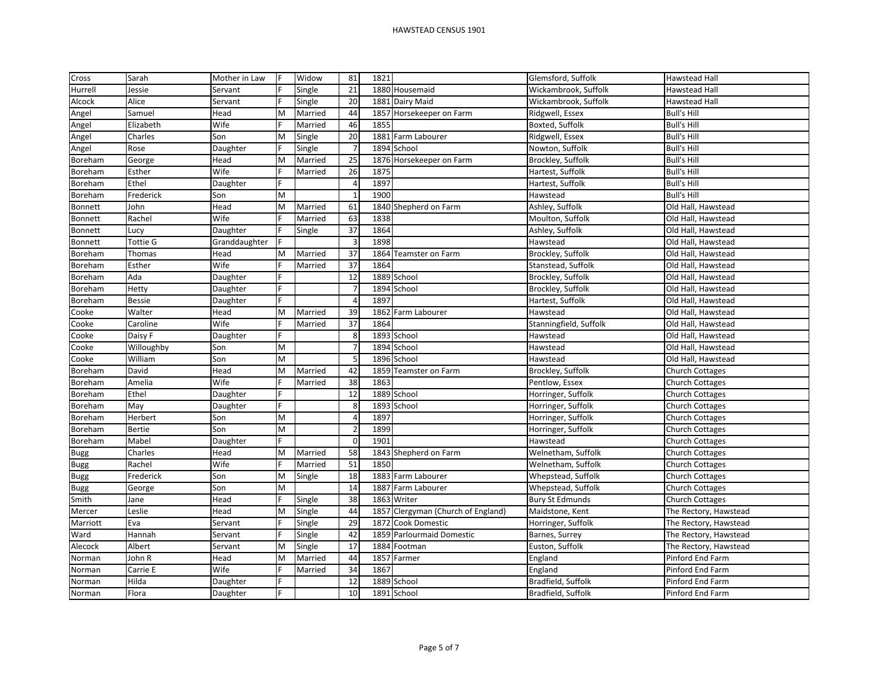| Cross       | Sarah           | Mother in Law | IF | Widow   | 81                   | 1821 |                                    | Glemsford, Suffolk     | Hawstead Hall          |
|-------------|-----------------|---------------|----|---------|----------------------|------|------------------------------------|------------------------|------------------------|
| Hurrell     | Jessie          | Servant       |    | Single  | 21                   |      | 1880 Housemaid                     | Wickambrook, Suffolk   | Hawstead Hall          |
| Alcock      | Alice           | Servant       |    | Single  | 20                   |      | 1881 Dairy Maid                    | Wickambrook, Suffolk   | Hawstead Hall          |
| Angel       | Samuel          | Head          | M  | Married | 44                   |      | 1857 Horsekeeper on Farm           | Ridgwell, Essex        | <b>Bull's Hill</b>     |
| Angel       | Elizabeth       | Wife          |    | Married | 46                   | 1855 |                                    | Boxted, Suffolk        | <b>Bull's Hill</b>     |
| Angel       | Charles         | Son           | M  | Single  | 20                   |      | 1881 Farm Labourer                 | Ridgwell, Essex        | <b>Bull's Hill</b>     |
| Angel       | Rose            | Daughter      |    | Single  |                      |      | 1894 School                        | Nowton, Suffolk        | <b>Bull's Hill</b>     |
| Boreham     | George          | Head          | M  | Married | 25                   |      | 1876 Horsekeeper on Farm           | Brockley, Suffolk      | <b>Bull's Hill</b>     |
| Boreham     | Esther          | Wife          |    | Married | 26                   | 1875 |                                    | Hartest, Suffolk       | <b>Bull's Hill</b>     |
| Boreham     | Ethel           | Daughter      |    |         | $\overline{\Lambda}$ | 1897 |                                    | Hartest, Suffolk       | <b>Bull's Hill</b>     |
| Boreham     | Frederick       | Son           | M  |         | $\overline{1}$       | 1900 |                                    | Hawstead               | <b>Bull's Hill</b>     |
| Bonnett     | John            | Head          | M  | Married | 61                   |      | 1840 Shepherd on Farm              | Ashley, Suffolk        | Old Hall, Hawstead     |
| Bonnett     | Rachel          | Wife          |    | Married | 63                   | 1838 |                                    | Moulton, Suffolk       | Old Hall, Hawstead     |
| Bonnett     | Lucy            | Daughter      |    | Single  | 37                   | 1864 |                                    | Ashley, Suffolk        | Old Hall, Hawstead     |
| Bonnett     | <b>Tottie G</b> | Granddaughter |    |         | 3                    | 1898 |                                    | Hawstead               | Old Hall, Hawstead     |
| Boreham     | Thomas          | Head          | M  | Married | 37                   |      | 1864 Teamster on Farm              | Brockley, Suffolk      | Old Hall, Hawstead     |
| Boreham     | Esther          | Wife          |    | Married | 37                   | 1864 |                                    | Stanstead, Suffolk     | Old Hall, Hawstead     |
| Boreham     | Ada             | Daughter      |    |         | 12                   |      | 1889 School                        | Brockley, Suffolk      | Old Hall, Hawstead     |
| Boreham     | Hetty           | Daughter      |    |         | $\overline{7}$       |      | 1894 School                        | Brockley, Suffolk      | Old Hall, Hawstead     |
| Boreham     | <b>Bessie</b>   | Daughter      |    |         |                      | 1897 |                                    | Hartest, Suffolk       | Old Hall, Hawstead     |
| Cooke       | Walter          | Head          | M  | Married | 39                   |      | 1862 Farm Labourer                 | Hawstead               | Old Hall, Hawstead     |
| Cooke       | Caroline        | Wife          |    | Married | 37                   | 1864 |                                    | Stanningfield, Suffolk | Old Hall, Hawstead     |
| Cooke       | Daisy F         | Daughter      |    |         | 8                    |      | 1893 School                        | Hawstead               | Old Hall, Hawstead     |
| Cooke       | Willoughby      | Son           | M  |         |                      |      | 1894 School                        | Hawstead               | Old Hall, Hawstead     |
| Cooke       | William         | Son           | M  |         | 5                    |      | 1896 School                        | Hawstead               | Old Hall, Hawstead     |
| Boreham     | David           | Head          | M  | Married | 42                   |      | 1859 Teamster on Farm              | Brockley, Suffolk      | <b>Church Cottages</b> |
| Boreham     | Amelia          | Wife          |    | Married | 38                   | 1863 |                                    | Pentlow, Essex         | <b>Church Cottages</b> |
| Boreham     | Ethel           | Daughter      |    |         | 12                   |      | 1889 School                        | Horringer, Suffolk     | <b>Church Cottages</b> |
| Boreham     | May             | Daughter      | F  |         | 8                    |      | 1893 School                        | Horringer, Suffolk     | <b>Church Cottages</b> |
| Boreham     | Herbert         | Son           | M  |         |                      | 1897 |                                    | Horringer, Suffolk     | <b>Church Cottages</b> |
| Boreham     | <b>Bertie</b>   | Son           | M  |         | $\overline{2}$       | 1899 |                                    | Horringer, Suffolk     | <b>Church Cottages</b> |
| Boreham     | Mabel           | Daughter      |    |         | $\Omega$             | 1901 |                                    | Hawstead               | <b>Church Cottages</b> |
| <b>Bugg</b> | Charles         | Head          | M  | Married | 58                   |      | 1843 Shepherd on Farm              | Welnetham, Suffolk     | <b>Church Cottages</b> |
| <b>Bugg</b> | Rachel          | Wife          |    | Married | 51                   | 1850 |                                    | Welnetham, Suffolk     | <b>Church Cottages</b> |
| <b>Bugg</b> | Frederick       | Son           | M  | Single  | 18                   |      | 1883 Farm Labourer                 | Whepstead, Suffolk     | <b>Church Cottages</b> |
| <b>Bugg</b> | George          | Son           | M  |         | 14                   |      | 1887 Farm Labourer                 | Whepstead, Suffolk     | Church Cottages        |
| Smith       | Jane            | Head          |    | Single  | 38                   |      | 1863 Writer                        | <b>Bury St Edmunds</b> | <b>Church Cottages</b> |
| Mercer      | Leslie          | Head          | M  | Single  | 44                   |      | 1857 Clergyman (Church of England) | Maidstone, Kent        | The Rectory, Hawstead  |
| Marriott    | Eva             | Servant       |    | Single  | 29                   |      | 1872 Cook Domestic                 | Horringer, Suffolk     | The Rectory, Hawstead  |
| Ward        | Hannah          | Servant       |    | Single  | 42                   |      | 1859 Parlourmaid Domestic          | Barnes, Surrey         | The Rectory, Hawstead  |
| Alecock     | Albert          | Servant       | M  | Single  | 17                   |      | 1884 Footman                       | Euston, Suffolk        | The Rectory, Hawstead  |
| Norman      | John R          | Head          | M  | Married | 44                   |      | 1857 Farmer                        | England                | Pinford End Farm       |
| Norman      | Carrie E        | Wife          |    | Married | 34                   | 1867 |                                    | England                | Pinford End Farm       |
| Norman      | Hilda           | Daughter      |    |         | 12                   |      | 1889 School                        | Bradfield, Suffolk     | Pinford End Farm       |
| Norman      | Flora           | Daughter      |    |         | 10                   |      | 1891 School                        | Bradfield, Suffolk     | Pinford End Farm       |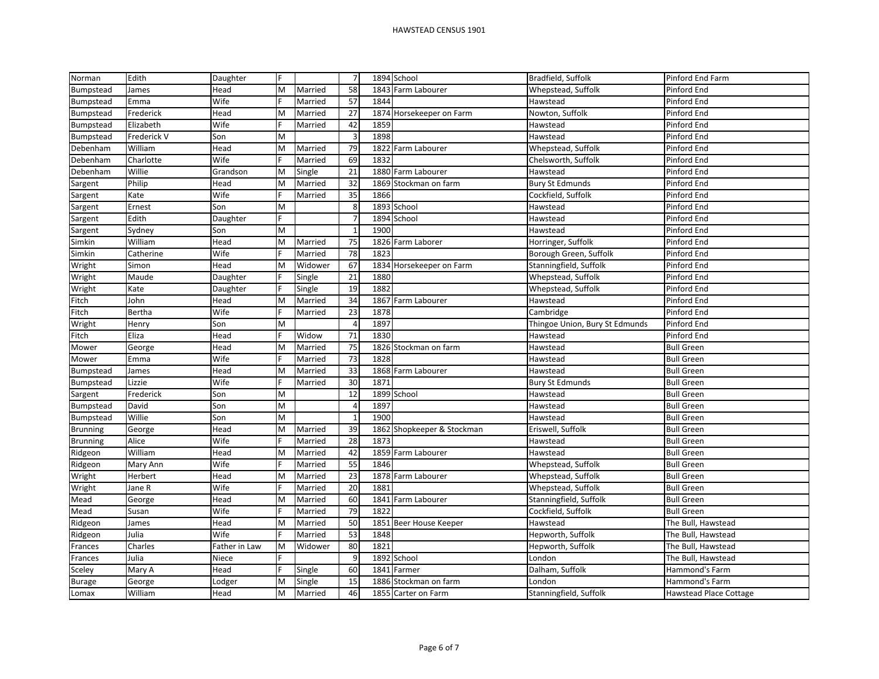| Norman          | Edith       | Daughter      | F |         | $\overline{7}$ |      | 1894 School                | Bradfield, Suffolk             | Pinford End Farm       |
|-----------------|-------------|---------------|---|---------|----------------|------|----------------------------|--------------------------------|------------------------|
| Bumpstead       | James       | Head          | M | Married | 58             |      | 1843 Farm Labourer         | Whepstead, Suffolk             | Pinford End            |
| Bumpstead       | Emma        | Wife          |   | Married | 57             | 1844 |                            | Hawstead                       | Pinford End            |
| Bumpstead       | Frederick   | Head          | M | Married | 27             |      | 1874 Horsekeeper on Farm   | Nowton, Suffolk                | Pinford End            |
| Bumpstead       | Elizabeth   | Wife          |   | Married | 42             | 1859 |                            | Hawstead                       | Pinford End            |
| Bumpstead       | Frederick V | Son           | M |         | $\overline{3}$ | 1898 |                            | Hawstead                       | Pinford End            |
| Debenham        | William     | Head          | M | Married | 79             |      | 1822 Farm Labourer         | Whepstead, Suffolk             | Pinford End            |
| Debenham        | Charlotte   | Wife          |   | Married | 69             | 1832 |                            | Chelsworth, Suffolk            | Pinford End            |
| Debenham        | Willie      | Grandson      | M | Single  | 21             |      | 1880 Farm Labourer         | Hawstead                       | Pinford End            |
| Sargent         | Philip      | Head          | M | Married | 32             |      | 1869 Stockman on farm      | <b>Bury St Edmunds</b>         | Pinford End            |
| Sargent         | Kate        | Wife          |   | Married | 35             | 1866 |                            | Cockfield, Suffolk             | Pinford End            |
| Sargent         | Ernest      | Son           | M |         | 8              |      | 1893 School                | Hawstead                       | Pinford End            |
| Sargent         | Edith       | Daughter      |   |         | $\overline{7}$ |      | 1894 School                | Hawstead                       | Pinford End            |
| Sargent         | Sydney      | Son           | M |         |                | 1900 |                            | Hawstead                       | Pinford End            |
| Simkin          | William     | Head          | M | Married | 75             |      | 1826 Farm Laborer          | Horringer, Suffolk             | Pinford End            |
| Simkin          | Catherine   | Wife          |   | Married | 78             | 1823 |                            | Borough Green, Suffolk         | Pinford End            |
| Wright          | Simon       | Head          | M | Widower | 67             |      | 1834 Horsekeeper on Farm   | Stanningfield, Suffolk         | Pinford End            |
| Wright          | Maude       | Daughter      |   | Single  | 21             | 1880 |                            | Whepstead, Suffolk             | Pinford End            |
| Wright          | Kate        | Daughter      |   | Single  | 19             | 1882 |                            | Whepstead, Suffolk             | Pinford End            |
| Fitch           | John        | Head          | M | Married | 34             |      | 1867 Farm Labourer         | Hawstead                       | Pinford End            |
| Fitch           | Bertha      | Wife          |   | Married | 23             | 1878 |                            | Cambridge                      | Pinford End            |
| Wright          | Henry       | Son           | M |         | $\overline{4}$ | 1897 |                            | Thingoe Union, Bury St Edmunds | Pinford End            |
| Fitch           | Eliza       | Head          |   | Widow   | 71             | 1830 |                            | Hawstead                       | Pinford End            |
| Mower           | George      | Head          | M | Married | 75             |      | 1826 Stockman on farm      | Hawstead                       | <b>Bull Green</b>      |
| Mower           | Emma        | Wife          |   | Married | 73             | 1828 |                            | Hawstead                       | <b>Bull Green</b>      |
| Bumpstead       | James       | Head          | М | Married | 33             |      | 1868 Farm Labourer         | Hawstead                       | <b>Bull Green</b>      |
| Bumpstead       | Lizzie      | Wife          |   | Married | 30             | 1871 |                            | <b>Bury St Edmunds</b>         | <b>Bull Green</b>      |
| Sargent         | Frederick   | Son           | M |         | 12             |      | 1899 School                | Hawstead                       | <b>Bull Green</b>      |
| Bumpstead       | David       | Son           | M |         | $\overline{4}$ | 1897 |                            | Hawstead                       | <b>Bull Green</b>      |
| Bumpstead       | Willie      | Son           | M |         |                | 1900 |                            | Hawstead                       | <b>Bull Green</b>      |
| <b>Brunning</b> | George      | Head          | M | Married | 39             |      | 1862 Shopkeeper & Stockman | Eriswell, Suffolk              | <b>Bull Green</b>      |
| <b>Brunning</b> | Alice       | Wife          |   | Married | 28             | 1873 |                            | Hawstead                       | <b>Bull Green</b>      |
| Ridgeon         | William     | Head          | M | Married | 42             |      | 1859 Farm Labourer         | Hawstead                       | <b>Bull Green</b>      |
| Ridgeon         | Mary Ann    | Wife          |   | Married | 55             | 1846 |                            | Whepstead, Suffolk             | <b>Bull Green</b>      |
| Wright          | Herbert     | Head          | M | Married | 23             |      | 1878 Farm Labourer         | Whepstead, Suffolk             | <b>Bull Green</b>      |
| Wright          | Jane R      | Wife          |   | Married | 20             | 1881 |                            | Whepstead, Suffolk             | <b>Bull Green</b>      |
| Mead            | George      | Head          | M | Married | 60             | 1841 | Farm Labourer              | Stanningfield, Suffolk         | <b>Bull Green</b>      |
| Mead            | Susan       | Wife          |   | Married | 79             | 1822 |                            | Cockfield, Suffolk             | <b>Bull Green</b>      |
| Ridgeon         | James       | Head          | M | Married | 50             |      | 1851 Beer House Keeper     | Hawstead                       | The Bull, Hawstead     |
| Ridgeon         | Julia       | Wife          |   | Married | 53             | 1848 |                            | Hepworth, Suffolk              | The Bull, Hawstead     |
| Frances         | Charles     | Father in Law | M | Widower | 80             | 1821 |                            | Hepworth, Suffolk              | The Bull, Hawstead     |
| Frances         | Julia       | Niece         |   |         | 9              |      | 1892 School                | London                         | The Bull, Hawstead     |
| Sceley          | Mary A      | Head          |   | Single  | 60             |      | 1841 Farmer                | Dalham, Suffolk                | Hammond's Farm         |
| <b>Burage</b>   | George      | Lodger        | M | Single  | 15             |      | 1886 Stockman on farm      | London                         | Hammond's Farm         |
| Lomax           | William     | Head          | M | Married | 46             |      | 1855 Carter on Farm        | Stanningfield, Suffolk         | Hawstead Place Cottage |